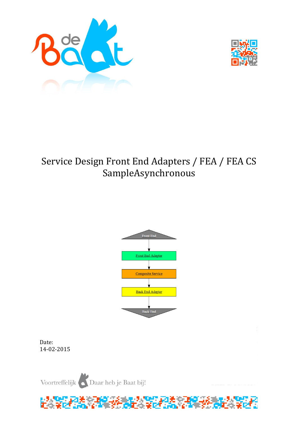



# Service Design Front End Adapters / FEA / FEA CS SampleAsynchronous



Date: 14-02-2015

Voortreffelijk Daar heb je Baat bij!

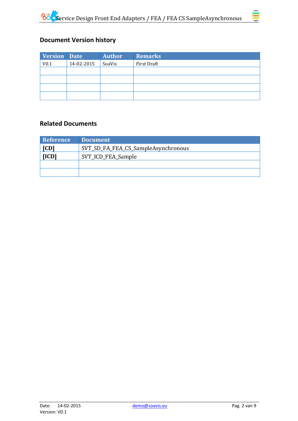

## **Document Version history**

| Version Date     |            | <b>Author</b> | <b>Remarks</b> |
|------------------|------------|---------------|----------------|
| V <sub>0.1</sub> | 14-02-2015 | SoaVis        | First Draft    |
|                  |            |               |                |
|                  |            |               |                |
|                  |            |               |                |
|                  |            |               |                |

### **Related Documents**

| <b>Reference</b>            | <b>Document</b>                     |
|-----------------------------|-------------------------------------|
| [CD]                        | SVT_SD_FA_FEA_CS_SampleAsynchronous |
| [ICD]<br>SVT_ICD_FEA_Sample |                                     |
|                             |                                     |
|                             |                                     |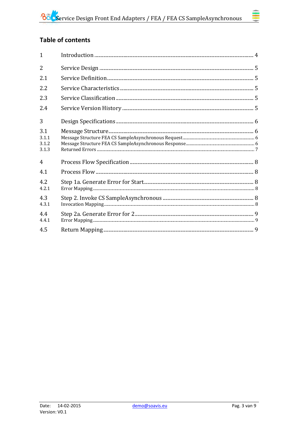# **Table of contents**

| $\mathbf{1}$                   |  |
|--------------------------------|--|
| $\overline{2}$                 |  |
| 2.1                            |  |
| 2.2                            |  |
| 2.3                            |  |
| 2.4                            |  |
| 3                              |  |
| 3.1<br>3.1.1<br>3.1.2<br>3.1.3 |  |
| 4                              |  |
| 4.1                            |  |
| 4.2<br>4.2.1                   |  |
| 4.3<br>4.3.1                   |  |
| 4.4<br>4.4.1                   |  |
| 4.5                            |  |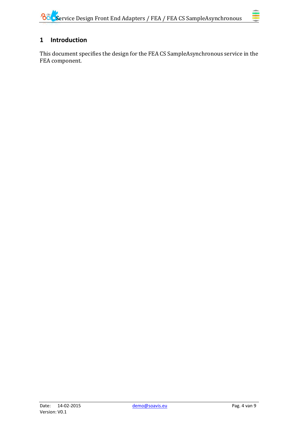### <span id="page-3-0"></span>**1 Introduction**

This document specifies the design for the FEA CS SampleAsynchronous service in the FEA component.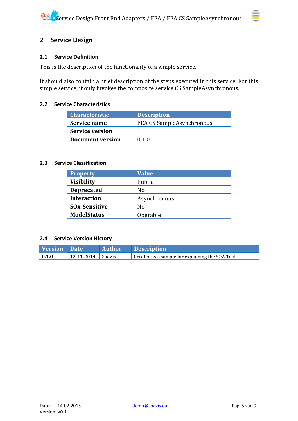### <span id="page-4-0"></span>**2 Service Design**

### <span id="page-4-1"></span>**2.1 Service Definition**

This is the description of the functionality of a simple service.

It should also contain a brief description of the steps executed in this service. For this simple service, it only invokes the composite service CS SampleAsynchronous.

### <span id="page-4-2"></span>**2.2 Service Characteristics**

| <b>Characteristic</b>   | <b>Description</b>               |
|-------------------------|----------------------------------|
| Service name            | <b>FEA CS SampleAsynchronous</b> |
| <b>Service version</b>  |                                  |
| <b>Document version</b> | 0.1.0                            |

### <span id="page-4-3"></span>**2.3 Service Classification**

| <b>Property</b>                 | <b>Value</b> |
|---------------------------------|--------------|
| <b>Visibility</b>               | Public       |
| <b>Deprecated</b>               | No           |
| <b>Interaction</b>              | Asynchronous |
| <b>SO<sub>x</sub>_Sensitive</b> | No           |
| <b>ModelStatus</b>              | Operable     |

### <span id="page-4-4"></span>**2.4 Service Version History**

| <b>Version</b> Date |                           | <b>Author</b> | <b>Description</b>                               |
|---------------------|---------------------------|---------------|--------------------------------------------------|
| $\vert 0.1.0 \vert$ | $12 - 11 - 2014$   SoaVis |               | Created as a sample for explaining the SOA Tool. |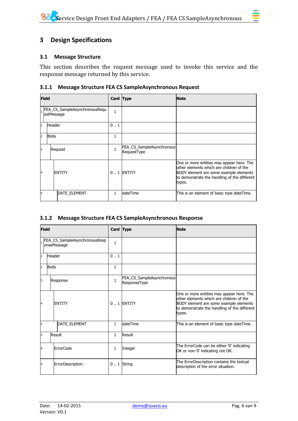### <span id="page-5-1"></span><span id="page-5-0"></span>**3.1 Message Structure**

This section describes the request message used to invoke this service and the response message returned by this service.

### <span id="page-5-2"></span>**3.1.1 Message Structure FEA CS SampleAsynchronous Request**

| <b>Field</b> |                                             | Card Type           |              | <b>Note</b>                              |                                                                                                                                                                                            |
|--------------|---------------------------------------------|---------------------|--------------|------------------------------------------|--------------------------------------------------------------------------------------------------------------------------------------------------------------------------------------------|
|              | FEA_CS_SampleAsynchronousRequ<br>estMessage |                     | $\mathbf{1}$ |                                          |                                                                                                                                                                                            |
| 2            | <b>Header</b>                               |                     | 0.1          |                                          |                                                                                                                                                                                            |
| 2            | Body                                        |                     | 1            |                                          |                                                                                                                                                                                            |
| 3            |                                             | Request             |              | FEA_CS_SampleAsynchronous<br>RequestType |                                                                                                                                                                                            |
| 14           |                                             | <b>ENTITY</b>       |              | 0  1 ENTITY                              | One or more entities may appear here. The<br>lother elements which are children of the<br>BODY element are some example elements<br>to demonstrate the handling of the different<br>types. |
| 5            |                                             | <b>DATE ELEMENT</b> | 1.           | <b>dateTime</b>                          | This is an element of basic type dateTime.                                                                                                                                                 |

### <span id="page-5-3"></span>**3.1.2 Message Structure FEA CS SampleAsynchronous Response**

| <b>Field</b>                                 |               | Card Type        |              | <b>Note</b>                               |                                                                                                                                                                                           |
|----------------------------------------------|---------------|------------------|--------------|-------------------------------------------|-------------------------------------------------------------------------------------------------------------------------------------------------------------------------------------------|
| FEA_CS_SampleAsynchronousResp<br>onseMessage |               | $\mathbf{1}$     |              |                                           |                                                                                                                                                                                           |
| $\overline{2}$                               | <b>Header</b> |                  | 01           |                                           |                                                                                                                                                                                           |
| $\overline{2}$                               | Body          |                  | $\mathbf{1}$ |                                           |                                                                                                                                                                                           |
| 3                                            | Response      |                  | $\mathbf{1}$ | FEA_CS_SampleAsynchronous<br>ResponseType |                                                                                                                                                                                           |
| 14                                           |               | <b>ENTITY</b>    |              | $0.1$ ENTITY                              | One or more entities may appear here. The<br>other elements which are children of the<br>BODY element are some example elements<br>to demonstrate the handling of the different<br>types. |
| l5                                           |               | DATE_ELEMENT     | $\mathbf{1}$ | dateTime                                  | This is an element of basic type dateTime.                                                                                                                                                |
| 3                                            |               | Result           | $\mathbf{1}$ | Result                                    |                                                                                                                                                                                           |
| 4                                            |               | <b>ErrorCode</b> | 1            | Integer                                   | The ErrorCode can be either '0' indicating<br>OK or non-'0' indicating not OK.                                                                                                            |
| 4                                            |               | ErrorDescription |              | $0.1$ String                              | The ErrorDescription contains the textual<br>description of the error situation.                                                                                                          |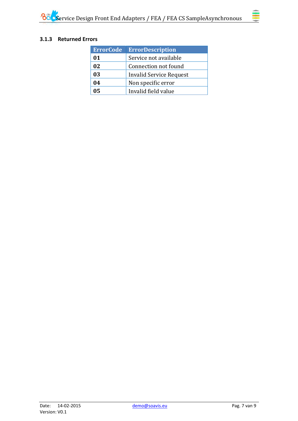### <span id="page-6-0"></span>**3.1.3 Returned Errors**

| <b>ErrorCode</b> | <b>ErrorDescription</b>        |
|------------------|--------------------------------|
| 01               | Service not available          |
| 02               | Connection not found           |
| 03               | <b>Invalid Service Request</b> |
| 04               | Non specific error             |
| 05               | Invalid field value            |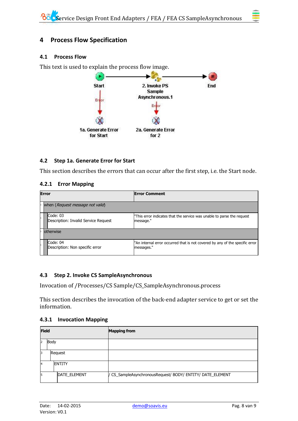### <span id="page-7-0"></span>**4 Process Flow Specification**

### <span id="page-7-1"></span>**4.1 Process Flow**

This text is used to explain the process flow image.



### <span id="page-7-2"></span>**4.2 Step 1a. Generate Error for Start**

This section describes the errors that can occur after the first step, i.e. the Start node.

### <span id="page-7-3"></span>**4.2.1 Error Mapping**

| <b>Error</b>                                     | <b>Error Comment</b>                                                                       |
|--------------------------------------------------|--------------------------------------------------------------------------------------------|
| when (Request message not valid)                 |                                                                                            |
| Code: 03<br>Description: Invalid Service Request | "This error indicates that the service was unable to parse the request<br>message."        |
| otherwise                                        |                                                                                            |
| Code: 04<br>Description: Non specific error      | "An internal error occurred that is not covered by any of the specific error<br>messages." |

### <span id="page-7-4"></span>**4.3 Step 2. Invoke CS SampleAsynchronous**

Invocation of /Processes/CS Sample/CS\_SampleAsynchronous.process

This section describes the invocation of the back-end adapter service to get or set the information.

### <span id="page-7-5"></span>**4.3.1 Invocation Mapping**

| <b>Field</b>   |         |               | <b>Mapping from</b>                                        |
|----------------|---------|---------------|------------------------------------------------------------|
| I2             | Body    |               |                                                            |
| 13             | Request |               |                                                            |
| $\overline{A}$ |         | <b>ENTITY</b> |                                                            |
| 5              |         | DATE_ELEMENT  | / CS_SampleAsynchronousRequest/ BODY/ ENTITY/ DATE_ELEMENT |